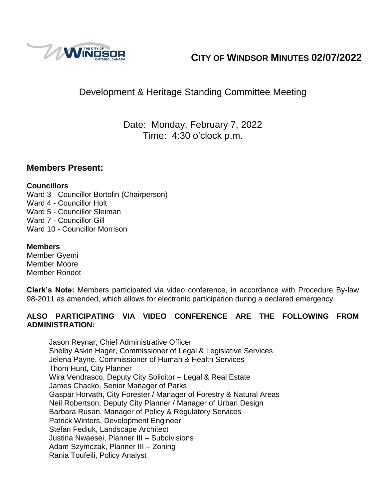

# **CITY OF WINDSOR MINUTES 02/07/2022**

# Development & Heritage Standing Committee Meeting

Date: Monday, February 7, 2022 Time: 4:30 o'clock p.m.

### **Members Present:**

### **Councillors**

Ward 3 - Councillor Bortolin (Chairperson) Ward 4 - Councillor Holt Ward 5 - Councillor Sleiman Ward 7 - Councillor Gill Ward 10 - Councillor Morrison

### **Members**

Member Gyemi Member Moore Member Rondot

**Clerk's Note:** Members participated via video conference, in accordance with Procedure By-law 98-2011 as amended, which allows for electronic participation during a declared emergency.

### **ALSO PARTICIPATING VIA VIDEO CONFERENCE ARE THE FOLLOWING FROM ADMINISTRATION:**

Jason Reynar, Chief Administrative Officer Shelby Askin Hager, Commissioner of Legal & Legislative Services Jelena Payne, Commissioner of Human & Health Services Thom Hunt, City Planner Wira Vendrasco, Deputy City Solicitor – Legal & Real Estate James Chacko, Senior Manager of Parks Gaspar Horvath, City Forester / Manager of Forestry & Natural Areas Neil Robertson, Deputy City Planner / Manager of Urban Design Barbara Rusan, Manager of Policy & Regulatory Services Patrick Winters, Development Engineer Stefan Fediuk, Landscape Architect Justina Nwaesei, Planner III – Subdivisions Adam Szymczak, Planner III – Zoning Rania Toufeili, Policy Analyst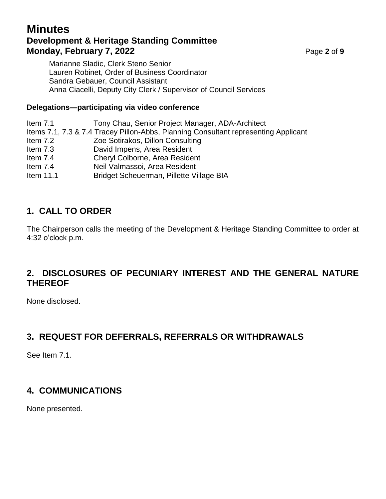# **Minutes Development & Heritage Standing Committee Monday, February 7, 2022** Page 2 of 9

Marianne Sladic, Clerk Steno Senior Lauren Robinet, Order of Business Coordinator Sandra Gebauer, Council Assistant Anna Ciacelli, Deputy City Clerk / Supervisor of Council Services

### **Delegations—participating via video conference**

Item 7.1 Tony Chau, Senior Project Manager, ADA-Architect Items 7.1, 7.3 & 7.4 Tracey Pillon-Abbs, Planning Consultant representing Applicant Item 7.2 Zoe Sotirakos, Dillon Consulting Item 7.3 David Impens, Area Resident Item 7.4 Cheryl Colborne, Area Resident Item 7.4 Neil Valmassoi, Area Resident Item 11.1 Bridget Scheuerman, Pillette Village BIA

# **1. CALL TO ORDER**

The Chairperson calls the meeting of the Development & Heritage Standing Committee to order at 4:32 o'clock p.m.

# **2. DISCLOSURES OF PECUNIARY INTEREST AND THE GENERAL NATURE THEREOF**

None disclosed.

# **3. REQUEST FOR DEFERRALS, REFERRALS OR WITHDRAWALS**

See Item 7.1.

# **4. COMMUNICATIONS**

None presented.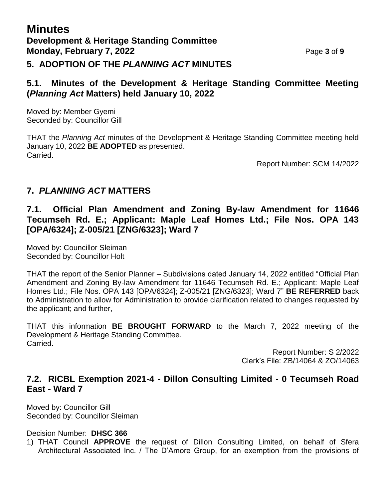## **5. ADOPTION OF THE** *PLANNING ACT* **MINUTES**

### **5.1. Minutes of the Development & Heritage Standing Committee Meeting (***Planning Act* **Matters) held January 10, 2022**

Moved by: Member Gyemi Seconded by: Councillor Gill

THAT the *Planning Act* minutes of the Development & Heritage Standing Committee meeting held January 10, 2022 **BE ADOPTED** as presented. Carried.

Report Number: SCM 14/2022

## **7.** *PLANNING ACT* **MATTERS**

**7.1. Official Plan Amendment and Zoning By-law Amendment for 11646 Tecumseh Rd. E.; Applicant: Maple Leaf Homes Ltd.; File Nos. OPA 143 [OPA/6324]; Z-005/21 [ZNG/6323]; Ward 7**

Moved by: Councillor Sleiman Seconded by: Councillor Holt

THAT the report of the Senior Planner – Subdivisions dated January 14, 2022 entitled "Official Plan Amendment and Zoning By-law Amendment for 11646 Tecumseh Rd. E.; Applicant: Maple Leaf Homes Ltd.; File Nos. OPA 143 [OPA/6324]; Z-005/21 [ZNG/6323]; Ward 7" **BE REFERRED** back to Administration to allow for Administration to provide clarification related to changes requested by the applicant; and further,

THAT this information **BE BROUGHT FORWARD** to the March 7, 2022 meeting of the Development & Heritage Standing Committee. Carried.

> Report Number: S 2/2022 Clerk's File: ZB/14064 & ZO/14063

## **7.2. RICBL Exemption 2021-4 - Dillon Consulting Limited - 0 Tecumseh Road East - Ward 7**

Moved by: Councillor Gill Seconded by: Councillor Sleiman

Decision Number: **DHSC 366**

1) THAT Council **APPROVE** the request of Dillon Consulting Limited, on behalf of Sfera Architectural Associated Inc. / The D'Amore Group, for an exemption from the provisions of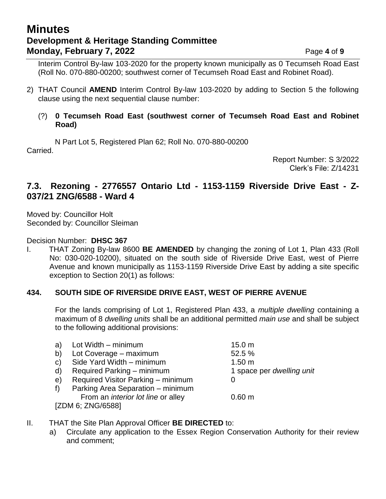# **Minutes Development & Heritage Standing Committee Monday, February 7, 2022** Page 4 of 9

Interim Control By-law 103-2020 for the property known municipally as 0 Tecumseh Road East (Roll No. 070-880-00200; southwest corner of Tecumseh Road East and Robinet Road).

2) THAT Council **AMEND** Interim Control By-law 103-2020 by adding to Section 5 the following clause using the next sequential clause number:

#### (?) **0 Tecumseh Road East (southwest corner of Tecumseh Road East and Robinet Road)**

N Part Lot 5, Registered Plan 62; Roll No. 070-880-00200 Carried.

Report Number: S 3/2022 Clerk's File: Z/14231

### **7.3. Rezoning - 2776557 Ontario Ltd - 1153-1159 Riverside Drive East - Z-037/21 ZNG/6588 - Ward 4**

Moved by: Councillor Holt Seconded by: Councillor Sleiman

Decision Number: **DHSC 367**

I. THAT Zoning By-law 8600 **BE AMENDED** by changing the zoning of Lot 1, Plan 433 (Roll No: 030-020-10200), situated on the south side of Riverside Drive East, west of Pierre Avenue and known municipally as 1153-1159 Riverside Drive East by adding a site specific exception to Section 20(1) as follows:

#### **434. SOUTH SIDE OF RIVERSIDE DRIVE EAST, WEST OF PIERRE AVENUE**

For the lands comprising of Lot 1, Registered Plan 433, a *multiple dwelling* containing a maximum of 8 *dwelling units* shall be an additional permitted *main use* and shall be subject to the following additional provisions:

|              | a) Lot Width – minimum                    | 15.0 <sub>m</sub>         |
|--------------|-------------------------------------------|---------------------------|
| b)           | Lot Coverage - maximum                    | 52.5 %                    |
| $\mathsf{C}$ | Side Yard Width - minimum                 | 1.50 m                    |
| d)           | Required Parking – minimum                | 1 space per dwelling unit |
| e)           | Required Visitor Parking - minimum        |                           |
| f)           | Parking Area Separation – minimum         |                           |
|              | From an <i>interior lot line</i> or alley | 0.60 m                    |
|              | [ZDM 6; ZNG/6588]                         |                           |

- II. THAT the Site Plan Approval Officer **BE DIRECTED** to:
	- a) Circulate any application to the Essex Region Conservation Authority for their review and comment;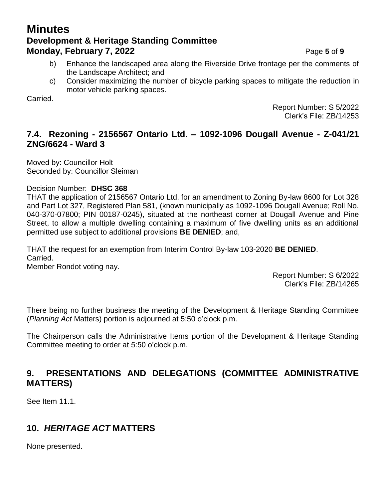# **Minutes Development & Heritage Standing Committee Monday, February 7, 2022** Page 5 of 9

- b) Enhance the landscaped area along the Riverside Drive frontage per the comments of the Landscape Architect; and
- c) Consider maximizing the number of bicycle parking spaces to mitigate the reduction in motor vehicle parking spaces.

**Carried** 

Report Number: S 5/2022 Clerk's File: ZB/14253

## **7.4. Rezoning - 2156567 Ontario Ltd. – 1092-1096 Dougall Avenue - Z-041/21 ZNG/6624 - Ward 3**

Moved by: Councillor Holt Seconded by: Councillor Sleiman

### Decision Number: **DHSC 368**

THAT the application of 2156567 Ontario Ltd. for an amendment to Zoning By-law 8600 for Lot 328 and Part Lot 327, Registered Plan 581, (known municipally as 1092-1096 Dougall Avenue; Roll No. 040-370-07800; PIN 00187-0245), situated at the northeast corner at Dougall Avenue and Pine Street, to allow a multiple dwelling containing a maximum of five dwelling units as an additional permitted use subject to additional provisions **BE DENIED**; and,

THAT the request for an exemption from Interim Control By-law 103-2020 **BE DENIED**. Carried. Member Rondot voting nay.

> Report Number: S 6/2022 Clerk's File: ZB/14265

There being no further business the meeting of the Development & Heritage Standing Committee (*Planning Act* Matters) portion is adjourned at 5:50 o'clock p.m.

The Chairperson calls the Administrative Items portion of the Development & Heritage Standing Committee meeting to order at 5:50 o'clock p.m.

## **9. PRESENTATIONS AND DELEGATIONS (COMMITTEE ADMINISTRATIVE MATTERS)**

See Item 11.1.

# **10.** *HERITAGE ACT* **MATTERS**

None presented.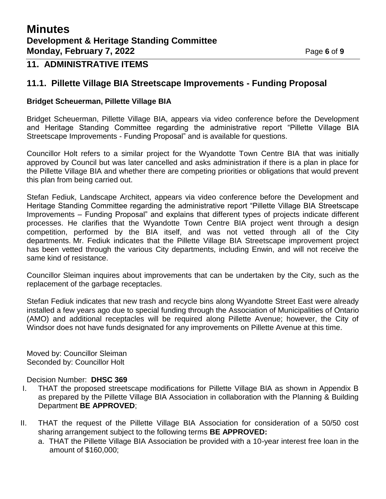# **11. ADMINISTRATIVE ITEMS**

### **11.1. Pillette Village BIA Streetscape Improvements - Funding Proposal**

#### **Bridget Scheuerman, Pillette Village BIA**

Bridget Scheuerman, Pillette Village BIA, appears via video conference before the Development and Heritage Standing Committee regarding the administrative report "Pillette Village BIA Streetscape Improvements - Funding Proposal" and is available for questions.

Councillor Holt refers to a similar project for the Wyandotte Town Centre BIA that was initially approved by Council but was later cancelled and asks administration if there is a plan in place for the Pillette Village BIA and whether there are competing priorities or obligations that would prevent this plan from being carried out.

Stefan Fediuk, Landscape Architect, appears via video conference before the Development and Heritage Standing Committee regarding the administrative report "Pillette Village BIA Streetscape Improvements – Funding Proposal" and explains that different types of projects indicate different processes. He clarifies that the Wyandotte Town Centre BIA project went through a design competition, performed by the BIA itself, and was not vetted through all of the City departments. Mr. Fediuk indicates that the Pillette Village BIA Streetscape improvement project has been vetted through the various City departments, including Enwin, and will not receive the same kind of resistance.

Councillor Sleiman inquires about improvements that can be undertaken by the City, such as the replacement of the garbage receptacles.

Stefan Fediuk indicates that new trash and recycle bins along Wyandotte Street East were already installed a few years ago due to special funding through the Association of Municipalities of Ontario (AMO) and additional receptacles will be required along Pillette Avenue; however, the City of Windsor does not have funds designated for any improvements on Pillette Avenue at this time.

Moved by: Councillor Sleiman Seconded by: Councillor Holt

#### Decision Number: **DHSC 369**

- I. THAT the proposed streetscape modifications for Pillette Village BIA as shown in Appendix B as prepared by the Pillette Village BIA Association in collaboration with the Planning & Building Department **BE APPROVED**;
- II. THAT the request of the Pillette Village BIA Association for consideration of a 50/50 cost sharing arrangement subject to the following terms **BE APPROVED:**
	- a. THAT the Pillette Village BIA Association be provided with a 10-year interest free loan in the amount of \$160,000;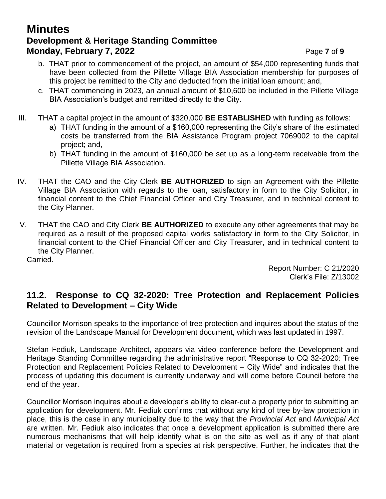## **Minutes Development & Heritage Standing Committee Monday, February 7, 2022** Page 7 of 9

- b. THAT prior to commencement of the project, an amount of \$54,000 representing funds that have been collected from the Pillette Village BIA Association membership for purposes of this project be remitted to the City and deducted from the initial loan amount; and,
- c. THAT commencing in 2023, an annual amount of \$10,600 be included in the Pillette Village BIA Association's budget and remitted directly to the City.
- III. THAT a capital project in the amount of \$320,000 **BE ESTABLISHED** with funding as follows:
	- a) THAT funding in the amount of a \$160,000 representing the City's share of the estimated costs be transferred from the BIA Assistance Program project 7069002 to the capital project; and,
	- b) THAT funding in the amount of \$160,000 be set up as a long-term receivable from the Pillette Village BIA Association.
- IV. THAT the CAO and the City Clerk **BE AUTHORIZED** to sign an Agreement with the Pillette Village BIA Association with regards to the loan, satisfactory in form to the City Solicitor, in financial content to the Chief Financial Officer and City Treasurer, and in technical content to the City Planner.
- V. THAT the CAO and City Clerk **BE AUTHORIZED** to execute any other agreements that may be required as a result of the proposed capital works satisfactory in form to the City Solicitor, in financial content to the Chief Financial Officer and City Treasurer, and in technical content to the City Planner.

Carried.

Report Number: C 21/2020 Clerk's File: Z/13002

## **11.2. Response to CQ 32-2020: Tree Protection and Replacement Policies Related to Development – City Wide**

Councillor Morrison speaks to the importance of tree protection and inquires about the status of the revision of the Landscape Manual for Development document, which was last updated in 1997.

Stefan Fediuk, Landscape Architect, appears via video conference before the Development and Heritage Standing Committee regarding the administrative report "Response to CQ 32-2020: Tree Protection and Replacement Policies Related to Development – City Wide" and indicates that the process of updating this document is currently underway and will come before Council before the end of the year.

Councillor Morrison inquires about a developer's ability to clear-cut a property prior to submitting an application for development. Mr. Fediuk confirms that without any kind of tree by-law protection in place, this is the case in any municipality due to the way that the *Provincial Act* and *Municipal Act* are written. Mr. Fediuk also indicates that once a development application is submitted there are numerous mechanisms that will help identify what is on the site as well as if any of that plant material or vegetation is required from a species at risk perspective. Further, he indicates that the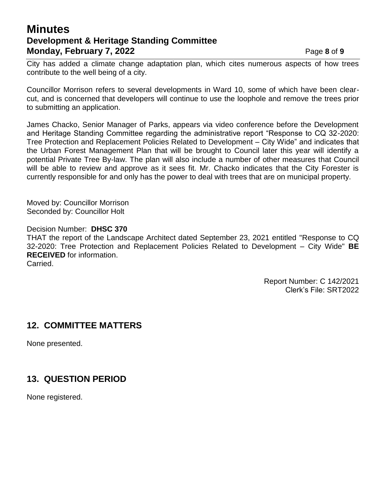# **Minutes Development & Heritage Standing Committee Monday, February 7, 2022** Page 8 of 9

City has added a climate change adaptation plan, which cites numerous aspects of how trees contribute to the well being of a city.

Councillor Morrison refers to several developments in Ward 10, some of which have been clearcut, and is concerned that developers will continue to use the loophole and remove the trees prior to submitting an application.

James Chacko, Senior Manager of Parks, appears via video conference before the Development and Heritage Standing Committee regarding the administrative report "Response to CQ 32-2020: Tree Protection and Replacement Policies Related to Development – City Wide" and indicates that the Urban Forest Management Plan that will be brought to Council later this year will identify a potential Private Tree By-law. The plan will also include a number of other measures that Council will be able to review and approve as it sees fit. Mr. Chacko indicates that the City Forester is currently responsible for and only has the power to deal with trees that are on municipal property.

Moved by: Councillor Morrison Seconded by: Councillor Holt

Decision Number: **DHSC 370** THAT the report of the Landscape Architect dated September 23, 2021 entitled "Response to CQ 32-2020: Tree Protection and Replacement Policies Related to Development – City Wide" **BE RECEIVED** for information. Carried.

> Report Number: C 142/2021 Clerk's File: SRT2022

## **12. COMMITTEE MATTERS**

None presented.

# **13. QUESTION PERIOD**

None registered.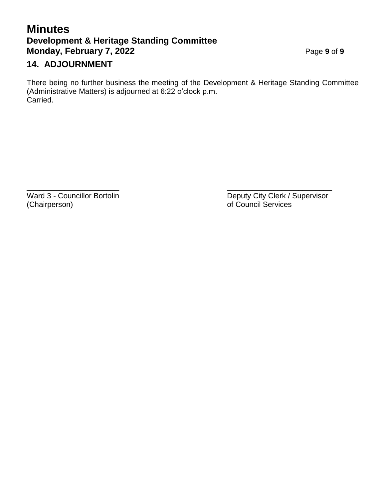# **Minutes Development & Heritage Standing Committee Monday, February 7, 2022** Page 9 of 9

# **14. ADJOURNMENT**

There being no further business the meeting of the Development & Heritage Standing Committee (Administrative Matters) is adjourned at 6:22 o'clock p.m. Carried.

 $\overline{\phantom{a}}$  , and the contract of the contract of the contract of the contract of the contract of the contract of the contract of the contract of the contract of the contract of the contract of the contract of the contrac (Chairperson) of Council Services

Ward 3 - Councillor Bortolin **Deputy City Clerk / Supervisor** Deputy City Clerk / Supervisor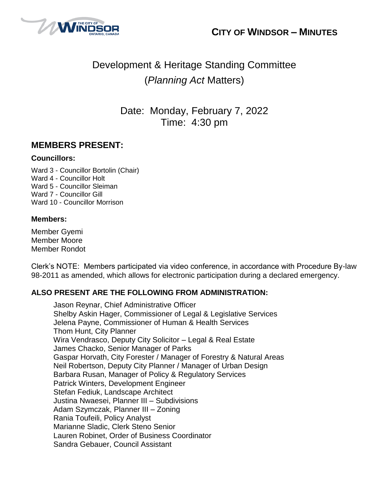



# Development & Heritage Standing Committee (*Planning Act* Matters)

Date: Monday, February 7, 2022 Time: 4:30 pm

## **MEMBERS PRESENT:**

#### **Councillors:**

Ward 3 - Councillor Bortolin (Chair) Ward 4 - Councillor Holt Ward 5 - Councillor Sleiman Ward 7 - Councillor Gill Ward 10 - Councillor Morrison

#### **Members:**

Member Gyemi Member Moore Member Rondot

Clerk's NOTE: Members participated via video conference, in accordance with Procedure By-law 98-2011 as amended, which allows for electronic participation during a declared emergency.

#### **ALSO PRESENT ARE THE FOLLOWING FROM ADMINISTRATION:**

Jason Reynar, Chief Administrative Officer Shelby Askin Hager, Commissioner of Legal & Legislative Services Jelena Payne, Commissioner of Human & Health Services Thom Hunt, City Planner Wira Vendrasco, Deputy City Solicitor – Legal & Real Estate James Chacko, Senior Manager of Parks Gaspar Horvath, City Forester / Manager of Forestry & Natural Areas Neil Robertson, Deputy City Planner / Manager of Urban Design Barbara Rusan, Manager of Policy & Regulatory Services Patrick Winters, Development Engineer Stefan Fediuk, Landscape Architect Justina Nwaesei, Planner III – Subdivisions Adam Szymczak, Planner III – Zoning Rania Toufeili, Policy Analyst Marianne Sladic, Clerk Steno Senior Lauren Robinet, Order of Business Coordinator Sandra Gebauer, Council Assistant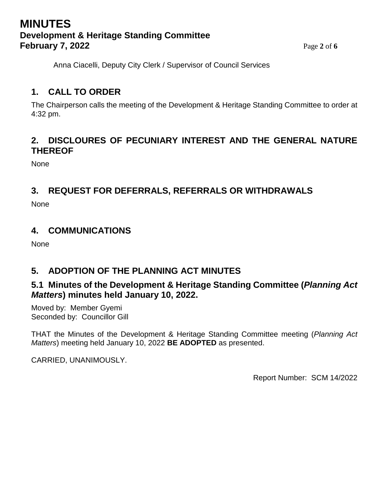# **MINUTES Development & Heritage Standing Committee February 7, 2022** Page 2 of 6

Anna Ciacelli, Deputy City Clerk / Supervisor of Council Services

# **1. CALL TO ORDER**

The Chairperson calls the meeting of the Development & Heritage Standing Committee to order at 4:32 pm.

## **2. DISCLOURES OF PECUNIARY INTEREST AND THE GENERAL NATURE THEREOF**

None

## **3. REQUEST FOR DEFERRALS, REFERRALS OR WITHDRAWALS**

None

## **4. COMMUNICATIONS**

None

# **5. ADOPTION OF THE PLANNING ACT MINUTES**

## **5.1 Minutes of the Development & Heritage Standing Committee (***Planning Act Matters***) minutes held January 10, 2022.**

Moved by: Member Gyemi Seconded by: Councillor Gill

THAT the Minutes of the Development & Heritage Standing Committee meeting (*Planning Act Matters*) meeting held January 10, 2022 **BE ADOPTED** as presented.

CARRIED, UNANIMOUSLY.

Report Number: SCM 14/2022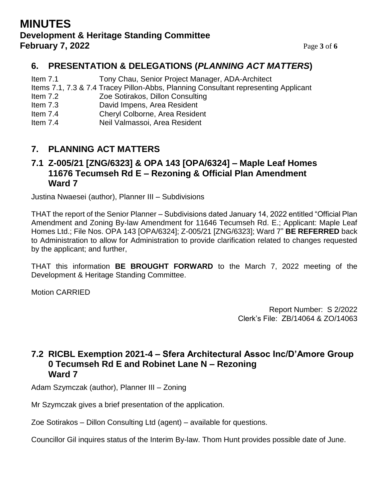## **MINUTES Development & Heritage Standing Committee February 7, 2022** Page **3** of **6**

# **6. PRESENTATION & DELEGATIONS (***PLANNING ACT MATTERS***)**

Item 7.1 Tony Chau, Senior Project Manager, ADA-Architect

- Items 7.1, 7.3 & 7.4 Tracey Pillon-Abbs, Planning Consultant representing Applicant
- Item 7.2 Zoe Sotirakos, Dillon Consulting
- Item 7.3 David Impens, Area Resident
- Item 7.4 Cheryl Colborne, Area Resident
- Item 7.4 Neil Valmassoi, Area Resident

## **7. PLANNING ACT MATTERS**

## **7.1 Z-005/21 [ZNG/6323] & OPA 143 [OPA/6324] – Maple Leaf Homes 11676 Tecumseh Rd E – Rezoning & Official Plan Amendment Ward 7**

Justina Nwaesei (author), Planner III – Subdivisions

THAT the report of the Senior Planner – Subdivisions dated January 14, 2022 entitled "Official Plan Amendment and Zoning By-law Amendment for 11646 Tecumseh Rd. E.; Applicant: Maple Leaf Homes Ltd.; File Nos. OPA 143 [OPA/6324]; Z-005/21 [ZNG/6323]; Ward 7" **BE REFERRED** back to Administration to allow for Administration to provide clarification related to changes requested by the applicant; and further,

THAT this information **BE BROUGHT FORWARD** to the March 7, 2022 meeting of the Development & Heritage Standing Committee.

Motion CARRIED

Report Number: S 2/2022 Clerk's File: ZB/14064 & ZO/14063

## **7.2 RICBL Exemption 2021-4 – Sfera Architectural Assoc Inc/D'Amore Group 0 Tecumseh Rd E and Robinet Lane N – Rezoning Ward 7**

Adam Szymczak (author), Planner III – Zoning

Mr Szymczak gives a brief presentation of the application.

Zoe Sotirakos – Dillon Consulting Ltd (agent) – available for questions.

Councillor Gil inquires status of the Interim By-law. Thom Hunt provides possible date of June.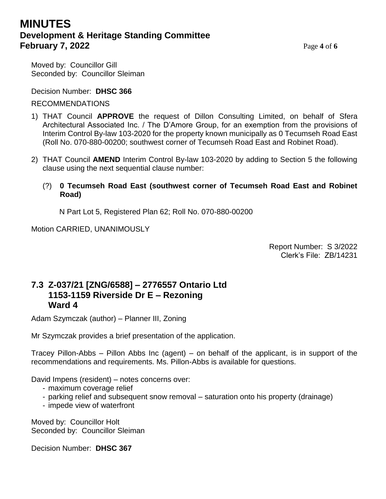# **MINUTES Development & Heritage Standing Committee February 7, 2022** Page 4 of 6

Moved by: Councillor Gill Seconded by: Councillor Sleiman

Decision Number: **DHSC 366**

### RECOMMENDATIONS

- 1) THAT Council **APPROVE** the request of Dillon Consulting Limited, on behalf of Sfera Architectural Associated Inc. / The D'Amore Group, for an exemption from the provisions of Interim Control By-law 103-2020 for the property known municipally as 0 Tecumseh Road East (Roll No. 070-880-00200; southwest corner of Tecumseh Road East and Robinet Road).
- 2) THAT Council **AMEND** Interim Control By-law 103-2020 by adding to Section 5 the following clause using the next sequential clause number:
	- (?) **0 Tecumseh Road East (southwest corner of Tecumseh Road East and Robinet Road)**

N Part Lot 5, Registered Plan 62; Roll No. 070-880-00200

Motion CARRIED, UNANIMOUSLY

Report Number: S 3/2022 Clerk's File: ZB/14231

### **7.3 Z-037/21 [ZNG/6588] – 2776557 Ontario Ltd 1153-1159 Riverside Dr E – Rezoning Ward 4**

Adam Szymczak (author) – Planner III, Zoning

Mr Szymczak provides a brief presentation of the application.

Tracey Pillon-Abbs – Pillon Abbs Inc (agent) – on behalf of the applicant, is in support of the recommendations and requirements. Ms. Pillon-Abbs is available for questions.

David Impens (resident) – notes concerns over:

- maximum coverage relief
- parking relief and subsequent snow removal saturation onto his property (drainage)
- impede view of waterfront

Moved by: Councillor Holt Seconded by: Councillor Sleiman

Decision Number: **DHSC 367**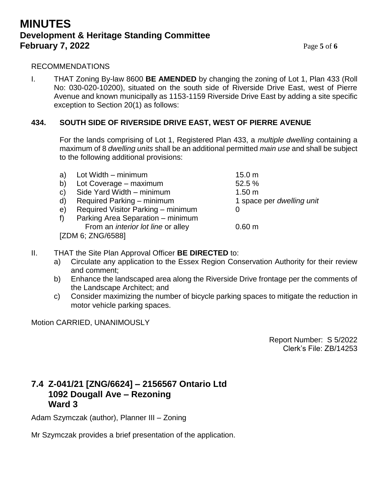## **MINUTES Development & Heritage Standing Committee February 7, 2022** Page **5** of **6**

#### **I** RECOMMENDATIONS

I. THAT Zoning By-law 8600 **BE AMENDED** by changing the zoning of Lot 1, Plan 433 (Roll No: 030-020-10200), situated on the south side of Riverside Drive East, west of Pierre Avenue and known municipally as 1153-1159 Riverside Drive East by adding a site specific exception to Section 20(1) as follows:

#### **434. SOUTH SIDE OF RIVERSIDE DRIVE EAST, WEST OF PIERRE AVENUE**

For the lands comprising of Lot 1, Registered Plan 433, a *multiple dwelling* containing a maximum of 8 *dwelling units* shall be an additional permitted *main use* and shall be subject to the following additional provisions:

| a)           | Lot Width – minimum                       | 15.0 <sub>m</sub>         |
|--------------|-------------------------------------------|---------------------------|
| b)           | Lot Coverage - maximum                    | 52.5 %                    |
| $\mathbf{C}$ | Side Yard Width - minimum                 | 1.50 <sub>m</sub>         |
| $\mathsf{d}$ | Required Parking – minimum                | 1 space per dwelling unit |
| e)           | Required Visitor Parking - minimum        | $\mathbf{0}$              |
| f            | Parking Area Separation - minimum         |                           |
|              | From an <i>interior lot line</i> or alley | 0.60 m                    |
|              | [ZDM 6; ZNG/6588]                         |                           |
|              |                                           |                           |

- II. THAT the Site Plan Approval Officer **BE DIRECTED** to:
	- a) Circulate any application to the Essex Region Conservation Authority for their review and comment;
	- b) Enhance the landscaped area along the Riverside Drive frontage per the comments of the Landscape Architect; and
	- c) Consider maximizing the number of bicycle parking spaces to mitigate the reduction in motor vehicle parking spaces.

Motion CARRIED, UNANIMOUSLY

Report Number: S 5/2022 Clerk's File: ZB/14253

## **7.4 Z-041/21 [ZNG/6624] – 2156567 Ontario Ltd 1092 Dougall Ave – Rezoning Ward 3**

Adam Szymczak (author), Planner III – Zoning

Mr Szymczak provides a brief presentation of the application.